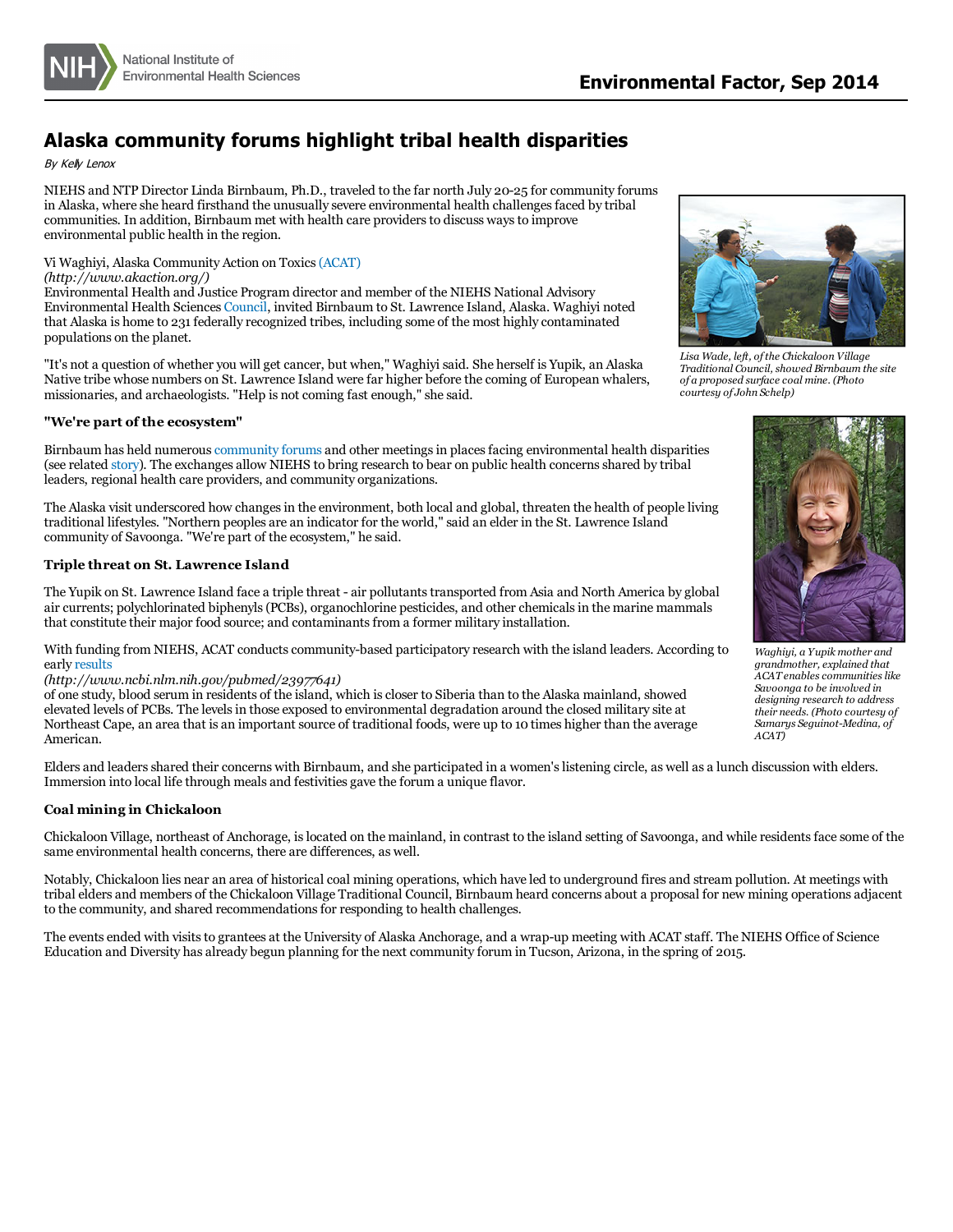

# **Alaska community forums highlight tribal health disparities**

By Kely Lenox

NIEHS and NTP Director Linda Birnbaum, Ph.D., traveled to the far north July 20-25 forcommunity forums in Alaska, where she heard firsthand the unusually severe environmental health challenges faced by tribal communities. In addition, Birnbaum met with health care providers to discuss ways to improve environmental public health in the region.

Vi Waghiyi, Alaska Community Action on Toxics[\(ACAT\)](http://www.akaction.org/)

### *(http://www.akaction.org/)*

Environmental Health and Justice Program director and member of the NIEHS National Advisory Environmental Health Sciences [Council](http://www.niehs.nih.gov/about/boards/naehsc/index.cfm), invited Birnbaum to St. Lawrence Island, Alaska. Waghiyi noted that Alaska is home to 231 federally recognized tribes, including some of the most highly contaminated populations on the planet.

"It's not a question of whether you will get cancer, but when," Waghiyi said. She herself is Yupik, an Alaska<br>Native tribe whose numbers on St. Lawrence Island were far higher before the coming of European whalers,<br>mission

## **"We're part of the ecosystem"**

Birnbaum has held numerous [community](http://www.niehs.nih.gov/about/community/communityforums/index.cfm) forums and other meetings in places facing environmental health disparities (see related [story](http://www.niehs.nih.gov/news/newsletter/2014/8/spotlight-salishkootenai/index.htm)). The exchanges allow NIEHS to bring research to bear on public health concernsshared by tribal leaders, regional health care providers, and community organizations.

The Alaska visit underscored how changesin the environment, both local and global, threaten the health of people living traditional lifestyles. "Northern peoples are an indicator for the world," said an elder in the St. Lawrence Island community of Savoonga. "We're part of the ecosystem," he said.

# **Triple threat on St. Lawrence Island**

The Yupik on St. Lawrence Island face a triple threat - air pollutants transported from Asia and North America by global air currents; polychlorinated biphenyls (PCBs), organochlorine pesticides, and other chemicals in the marine mammals that constitute their major food source; and contaminantsfrom a former military installation.

With funding from NIEHS, ACAT conducts community-based participatory research with the island leaders. According to early [results](http://www.ncbi.nlm.nih.gov/pubmed/23977641)

### *(http://www.ncbi.nlm.nih.gov/pubmed/23977641)*

of one study, blood serum in residents of the island, which iscloser to Siberia than to the Alaska mainland, showed elevated levels of PCBs. The levelsin those exposed to environmental degradation around the closed military site at Northeast Cape, an area that is an important source of traditional foods, were up to 10 times higher than the average American.

Elders and leaders shared their concerns with Birnbaum, and she participated in a women's listening circle, as well as a lunch discussion with elders. Immersion into local life through meals and festivities gave the forum a unique flavor.

# **Coal mining in Chickaloon**

Chickaloon Village, northeast of Anchorage, islocated on the mainland, in contrast to the island setting of Savoonga, and while residentsface some of the same environmental health concerns, there are differences, as well.

Notably, Chickaloon lies near an area of historical coal mining operations, which have led to underground fires and stream pollution. At meetings with tribal elders and members of the Chickaloon Village Traditional Council, Birnbaum heard concerns about a proposal for new mining operations adjacent to the community, and shared recommendations for responding to health challenges.

The events ended with visits to grantees at the University of Alaska Anchorage, and a wrap-up meeting with ACAT staff. The NIEHS Office of Science Education and Diversity has already begun planning for the next community forum in Tucson, Arizona, in the spring of 2015.



*Lisa Wade, left, ofthe Chickaloon Village Traditional Council, showed Birnbaum the site of a proposed surface coal mine. (Photo courtesy of John Schelp)*



*Waghiyi, a Yupik mother and grandmother, explained that*  $\overline{ACAT}$  *enables* communities like *Savoonga to be involved in designing research to address their needs. (Photo courtesy of Samarys Seguinot-Medina, of ACAT)*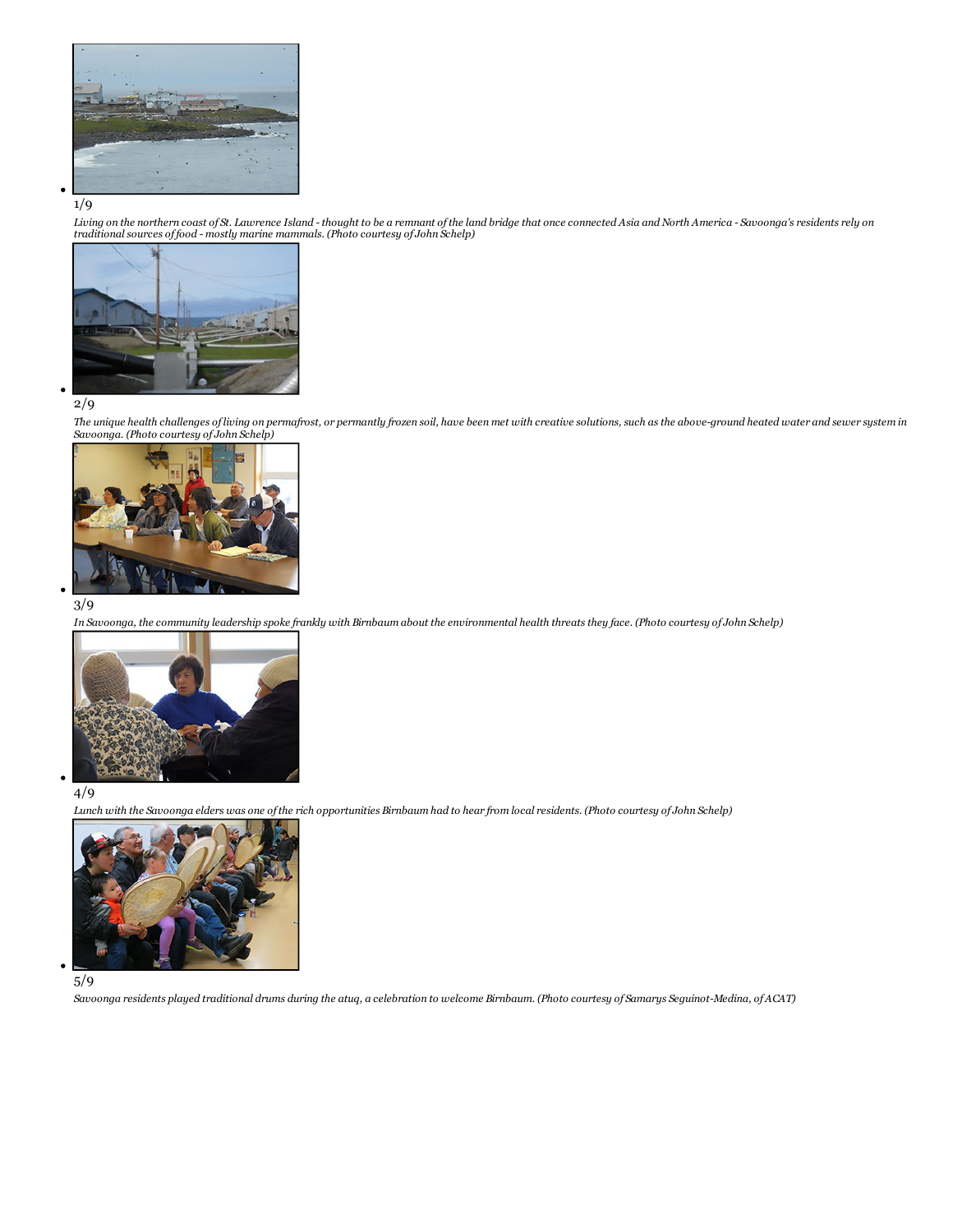

### 1/9

 $\bullet$ 

Living on the northern coast of St. Lawrence Island - thought to be a remnant of the land bridge that once connected Asia and North America - Savoonga's residents rely on<br>traditional sources of food - mostly marine mammals



## 2/9

The unique health challenges of living on permafrost, or permantly frozen soil, have been met with creative solutions, such as the above-ground heated water and sewer system in<br>Savoonga. (Photo courtesy of John Schelp)



### 3/9

In Savoonga, the community leadership spoke frankly with Birnbaum about the environmental health threats they face. (Photo courtesy of John Schelp)



#### 4/9

Lunch with the Savoonga elders was one of the rich opportunities Birnbaum had to hear from local residents. (Photo courtesy of John Schelp)



5/9

 $\bullet$ 

Savoonga residents played traditional drums during the atuq, a celebration to welcome Birnbaum. (Photo courtesy of Samarys Seguinot-Medina, of ACAT)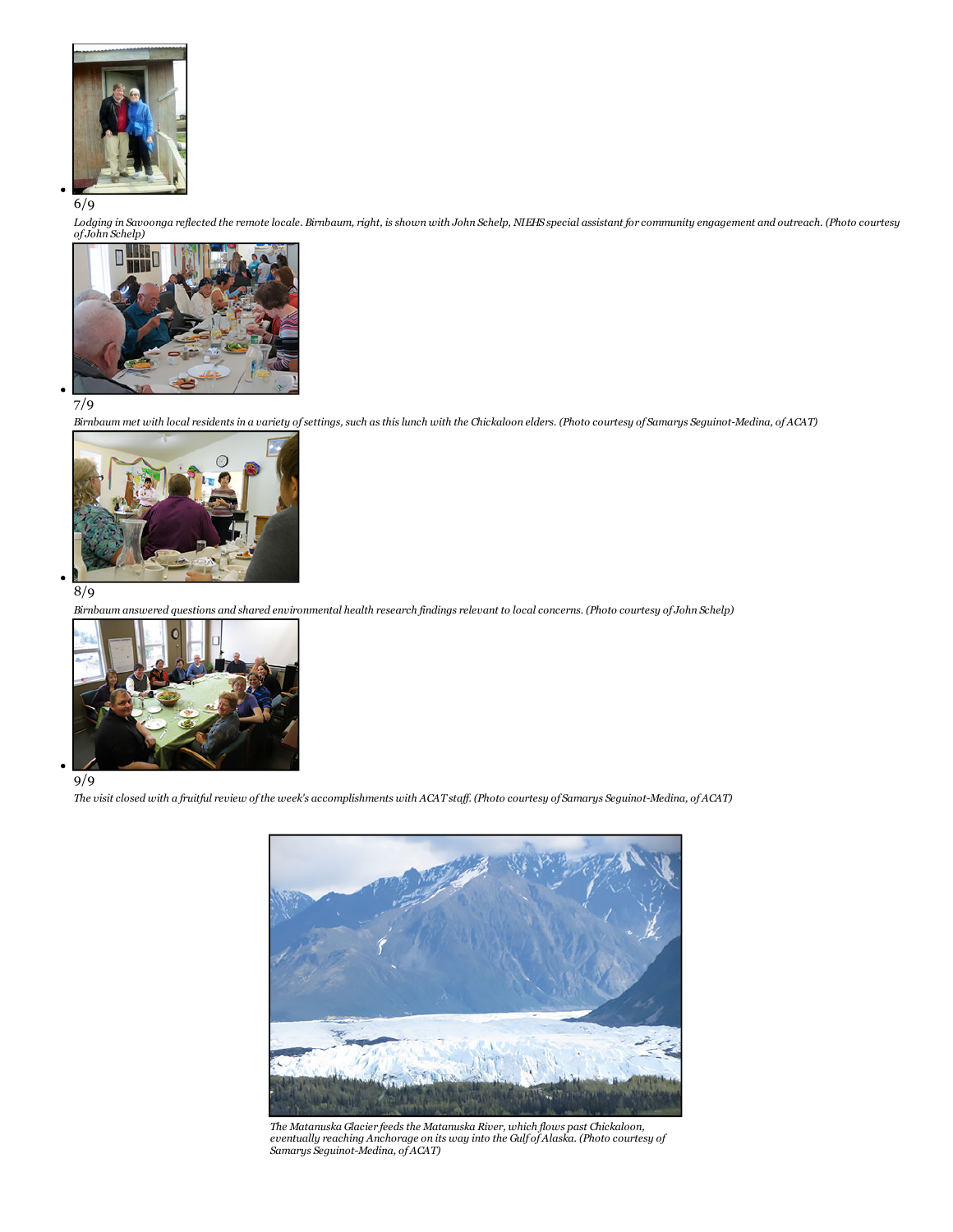

# 6/9

Lodging in Savoonga reflected the remote locale. Birnbaum, right, is shown with John Schelp, NIEHS special assistant for community engagement and outreach. (Photo courtesy<br>of John Schelp)



# 7/9

Birnbaum met with local residents in a variety of settings, such as this lunch with the Chickaloon elders. (Photo courtesy of Samarys Seguinot-Medina, of ACAT)



## 8/9

Birnbaum answered questions and shared environmental health research findings relevant to local concerns. (Photo courtesy of John Schelp)



### 9/9

The visit closed with a fruitful review of the week's accomplishments with ACAT staff. (Photo courtesy of Samarys Seguinot-Medina, of ACAT)



The Matanuska Glacier feeds the Matanuska River, which flows past Chickaloon,<br>eventually reaching Anchorage on its way into the Gulf of Alaska. (Photo courtesy of<br>Samarys Seguinot-Medina, of ACAT)